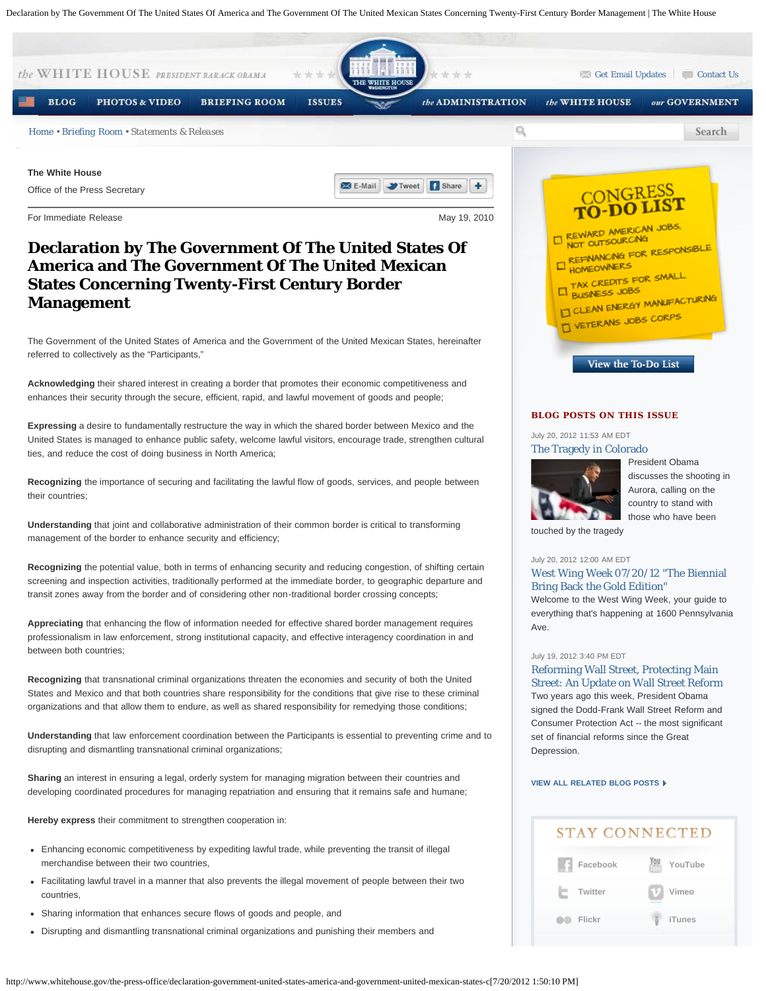Declaration by The Government Of The United States Of America and The Government Of The United Mexican States Concerning Twenty-First Century Border Management | The White House

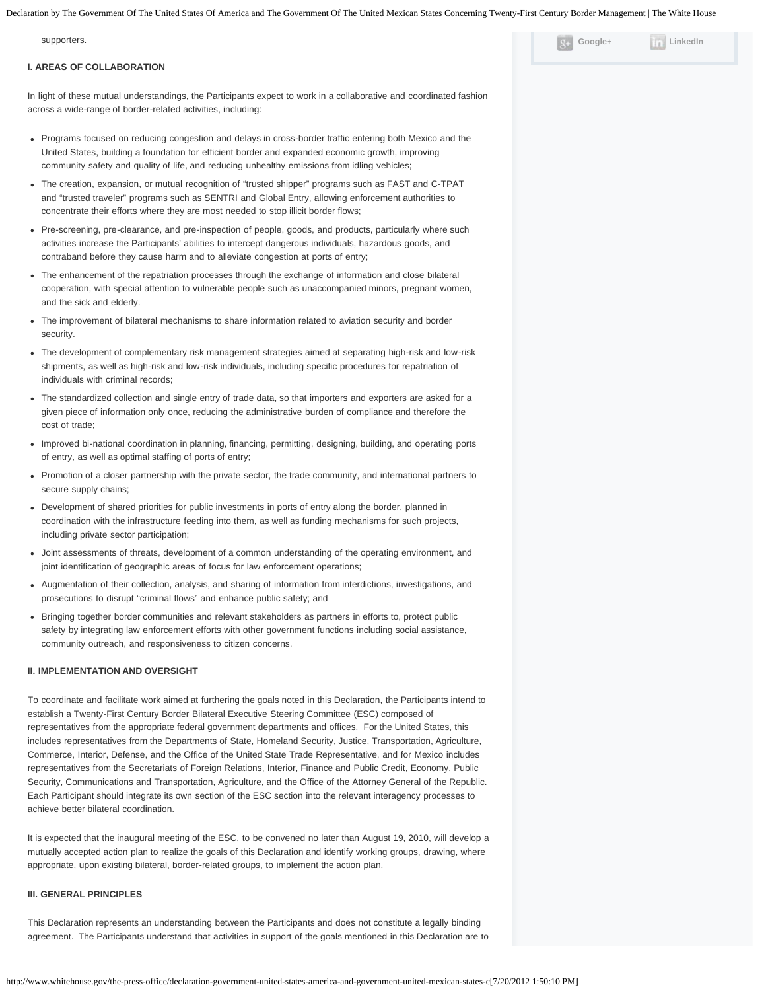Declaration by The Government Of The United States Of America and The Government Of The United Mexican States Concerning Twenty-First Century Border Management | The White House

| supporters.                                                                                                                                                                                                                                                                                                                                                                                                                                                                                                                                                                                                                                                                                                                                                                                                                                                                                                                                                                          | Google+ | LinkedIn |
|--------------------------------------------------------------------------------------------------------------------------------------------------------------------------------------------------------------------------------------------------------------------------------------------------------------------------------------------------------------------------------------------------------------------------------------------------------------------------------------------------------------------------------------------------------------------------------------------------------------------------------------------------------------------------------------------------------------------------------------------------------------------------------------------------------------------------------------------------------------------------------------------------------------------------------------------------------------------------------------|---------|----------|
| <b>I. AREAS OF COLLABORATION</b>                                                                                                                                                                                                                                                                                                                                                                                                                                                                                                                                                                                                                                                                                                                                                                                                                                                                                                                                                     |         |          |
| In light of these mutual understandings, the Participants expect to work in a collaborative and coordinated fashion<br>across a wide-range of border-related activities, including:                                                                                                                                                                                                                                                                                                                                                                                                                                                                                                                                                                                                                                                                                                                                                                                                  |         |          |
| • Programs focused on reducing congestion and delays in cross-border traffic entering both Mexico and the<br>United States, building a foundation for efficient border and expanded economic growth, improving<br>community safety and quality of life, and reducing unhealthy emissions from idling vehicles;                                                                                                                                                                                                                                                                                                                                                                                                                                                                                                                                                                                                                                                                       |         |          |
| The creation, expansion, or mutual recognition of "trusted shipper" programs such as FAST and C-TPAT<br>and "trusted traveler" programs such as SENTRI and Global Entry, allowing enforcement authorities to<br>concentrate their efforts where they are most needed to stop illicit border flows;                                                                                                                                                                                                                                                                                                                                                                                                                                                                                                                                                                                                                                                                                   |         |          |
| • Pre-screening, pre-clearance, and pre-inspection of people, goods, and products, particularly where such<br>activities increase the Participants' abilities to intercept dangerous individuals, hazardous goods, and<br>contraband before they cause harm and to alleviate congestion at ports of entry;                                                                                                                                                                                                                                                                                                                                                                                                                                                                                                                                                                                                                                                                           |         |          |
| • The enhancement of the repatriation processes through the exchange of information and close bilateral<br>cooperation, with special attention to vulnerable people such as unaccompanied minors, pregnant women,<br>and the sick and elderly.                                                                                                                                                                                                                                                                                                                                                                                                                                                                                                                                                                                                                                                                                                                                       |         |          |
| • The improvement of bilateral mechanisms to share information related to aviation security and border<br>security.                                                                                                                                                                                                                                                                                                                                                                                                                                                                                                                                                                                                                                                                                                                                                                                                                                                                  |         |          |
| • The development of complementary risk management strategies aimed at separating high-risk and low-risk<br>shipments, as well as high-risk and low-risk individuals, including specific procedures for repatriation of<br>individuals with criminal records;                                                                                                                                                                                                                                                                                                                                                                                                                                                                                                                                                                                                                                                                                                                        |         |          |
| The standardized collection and single entry of trade data, so that importers and exporters are asked for a<br>given piece of information only once, reducing the administrative burden of compliance and therefore the<br>cost of trade;                                                                                                                                                                                                                                                                                                                                                                                                                                                                                                                                                                                                                                                                                                                                            |         |          |
| Improved bi-national coordination in planning, financing, permitting, designing, building, and operating ports<br>of entry, as well as optimal staffing of ports of entry;                                                                                                                                                                                                                                                                                                                                                                                                                                                                                                                                                                                                                                                                                                                                                                                                           |         |          |
| Promotion of a closer partnership with the private sector, the trade community, and international partners to<br>secure supply chains;                                                                                                                                                                                                                                                                                                                                                                                                                                                                                                                                                                                                                                                                                                                                                                                                                                               |         |          |
| Development of shared priorities for public investments in ports of entry along the border, planned in<br>coordination with the infrastructure feeding into them, as well as funding mechanisms for such projects,<br>including private sector participation;                                                                                                                                                                                                                                                                                                                                                                                                                                                                                                                                                                                                                                                                                                                        |         |          |
| Joint assessments of threats, development of a common understanding of the operating environment, and<br>joint identification of geographic areas of focus for law enforcement operations;                                                                                                                                                                                                                                                                                                                                                                                                                                                                                                                                                                                                                                                                                                                                                                                           |         |          |
| • Augmentation of their collection, analysis, and sharing of information from interdictions, investigations, and<br>prosecutions to disrupt "criminal flows" and enhance public safety; and                                                                                                                                                                                                                                                                                                                                                                                                                                                                                                                                                                                                                                                                                                                                                                                          |         |          |
| • Bringing together border communities and relevant stakeholders as partners in efforts to, protect public<br>safety by integrating law enforcement efforts with other government functions including social assistance,<br>community outreach, and responsiveness to citizen concerns.                                                                                                                                                                                                                                                                                                                                                                                                                                                                                                                                                                                                                                                                                              |         |          |
| <b>II. IMPLEMENTATION AND OVERSIGHT</b>                                                                                                                                                                                                                                                                                                                                                                                                                                                                                                                                                                                                                                                                                                                                                                                                                                                                                                                                              |         |          |
| To coordinate and facilitate work aimed at furthering the goals noted in this Declaration, the Participants intend to<br>establish a Twenty-First Century Border Bilateral Executive Steering Committee (ESC) composed of<br>representatives from the appropriate federal government departments and offices. For the United States, this<br>includes representatives from the Departments of State, Homeland Security, Justice, Transportation, Agriculture,<br>Commerce, Interior, Defense, and the Office of the United State Trade Representative, and for Mexico includes<br>representatives from the Secretariats of Foreign Relations, Interior, Finance and Public Credit, Economy, Public<br>Security, Communications and Transportation, Agriculture, and the Office of the Attorney General of the Republic.<br>Each Participant should integrate its own section of the ESC section into the relevant interagency processes to<br>achieve better bilateral coordination. |         |          |
| It is expected that the inaugural meeting of the ESC, to be convened no later than August 19, 2010, will develop a<br>mutually accepted action plan to realize the goals of this Declaration and identify working groups, drawing, where<br>appropriate, upon existing bilateral, border-related groups, to implement the action plan.                                                                                                                                                                                                                                                                                                                                                                                                                                                                                                                                                                                                                                               |         |          |
| <b>III. GENERAL PRINCIPLES</b>                                                                                                                                                                                                                                                                                                                                                                                                                                                                                                                                                                                                                                                                                                                                                                                                                                                                                                                                                       |         |          |
| This Declaration represents an understanding between the Participants and does not constitute a legally binding<br>agreement. The Participants understand that activities in support of the goals mentioned in this Declaration are to                                                                                                                                                                                                                                                                                                                                                                                                                                                                                                                                                                                                                                                                                                                                               |         |          |